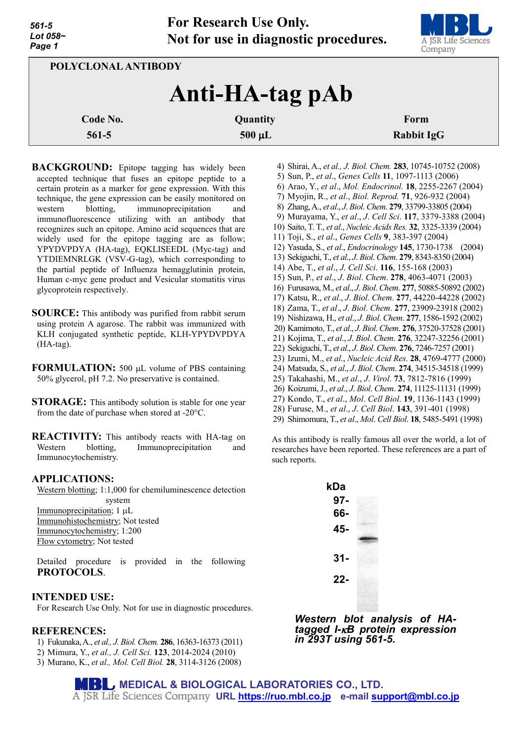

| POLYCLONAL ANTIBODY |             |                   |
|---------------------|-------------|-------------------|
| Anti-HA-tag pAb     |             |                   |
| Code No.            | Quantity    | Form              |
| $561-5$             | $500 \mu L$ | <b>Rabbit IgG</b> |

**BACKGROUND:** Epitope tagging has widely been accepted technique that fuses an epitope peptide to a certain protein as a marker for gene expression. With this technique, the gene expression can be easily monitored on western blotting, immunoprecipitation and immunofluorescence utilizing with an antibody that recognizes such an epitope. Amino acid sequences that are widely used for the epitope tagging are as follow; YPYDVPDYA (HA-tag), EQKLISEEDL (Myc-tag) and YTDIEMNRLGK (VSV-G-tag), which corresponding to the partial peptide of Influenza hemagglutinin protein, Human c-myc gene product and Vesicular stomatitis virus glycoprotein respectively.

- **SOURCE:** This antibody was purified from rabbit serum using protein A agarose. The rabbit was immunized with KLH conjugated synthetic peptide, KLH-YPYDVPDYA (HA-tag).
- **FORMULATION:** 500 µL volume of PBS containing 50% glycerol, pH 7.2. No preservative is contained.
- **STORAGE:** This antibody solution is stable for one year from the date of purchase when stored at -20°C.

**REACTIVITY:** This antibody reacts with HA-tag on Western blotting, Immunoprecipitation and Immunocytochemistry.

### **APPLICATIONS:**

Western blotting; 1:1,000 for chemiluminescence detection system

Immunoprecipitation; 1 µL Immunohistochemistry; Not tested Immunocytochemistry; 1:200 Flow cytometry; Not tested

Detailed procedure is provided in the following **PROTOCOLS**.

### **INTENDED USE:**

For Research Use Only. Not for use in diagnostic procedures.

### **REFERENCES:**

- 1) Fukunaka, A., *et al., J. Biol. Chem.* **286**, 16363-16373 (2011)
- 2) Mimura, Y., *et al., J. Cell Sci.* **123**, 2014-2024 (2010)
- 3) Murano, K., *et al., Mol. Cell Biol.* **28**, 3114-3126 (2008)

6) Arao, Y., *et al*., *Mol. Endocrinol.* **18**, 2255-2267 (2004) 7) Myojin, R., *et al*., *Biol. Reprod.* **71**, 926-932 (2004) 8) Zhang, A., *et al*., *J*. *Biol*. *Chem*. **279**, 33799-33805 (2004) 9) Murayama, Y., *et al*., *J*. *Cell Sci*. **117**, 3379-3388 (2004) 10) Saito, T. T., *et al*., *Nucleic Acids Res.* **32**, 3325-3339 (2004) 11) Toji, S., *et al*., *Genes Cells* **9**, 383-397 (2004) 12) Yasuda, S., *et al*., *Endocrinology* **145**, 1730-1738 (2004) 13) Sekiguchi, T., *et al*., *J*. *Biol*. *Chem*. **279**, 8343-8350 (2004) 14) Abe, T., *et al*., *J*. *Cell Sci*. **116**, 155-168 (2003) 15) Sun, P., *et al*., *J*. *Biol*. *Chem*. **278**, 4063-4071 (2003) 16) Furusawa, M., *et al*., *J*. *Biol*. *Chem*. **277**, 50885-50892 (2002) 17) Katsu, R., *et al*., *J*. *Biol*. *Chem*. **277**, 44220-44228 (2002)

4) Shirai, A., *et al., J. Biol. Chem.* **283**, 10745-10752 (2008) 5) Sun, P., *et al*., *Genes Cells* **11**, 1097-1113 (2006)

- 18) Zama, T., *et al*., *J*. *Biol*. *Chem*. **277**, 23909-23918 (2002)
- 19) Nishizawa, H., *et al*., *J*. *Biol*. *Chem*. **277**, 1586-1592 (2002) 20) Kamimoto, T., *et al*., *J*. *Biol*. *Chem*. **276**, 37520-37528 (2001)
- 21) Kojima, T., *et al*., *J*. *Biol*. *Chem*. **276**, 32247-32256 (2001)
- 22) Sekiguchi, T., *et al*., *J*. *Biol*. *Chem*. **276**, 7246-7257 (2001)
- 23) Izumi, M., *et al*., *Nucleic Acid Res*. **28**, 4769-4777 (2000)
- 24) Matsuda, S., *et al*., *J*. *Biol*. *Chem*. **274**, 34515-34518 (1999)
- 25) Takahashi, M., *et al*., *J*. *Virol*. **73**, 7812-7816 (1999)
- 26) Koizumi, J., *et al*., *J*. *Biol*. *Chem*. **274**, 11125-11131 (1999)
- 27) Kondo, T., *et al*., *Mol*. *Cell Biol*. **19**, 1136-1143 (1999)
- 28) Furuse, M., *et al*., *J*. *Cell Biol*. **143**, 391-401 (1998)
- 29) Shimomura, T., *et al*., *Mol*. *Cell Biol*. **18**, 5485-5491 (1998)

As this antibody is really famous all over the world, a lot of researches have been reported. These references are a part of such reports.



*Western blot analysis of HA- tagged I-*κ*<sup>B</sup> protein expression in 293T using 561-5.*